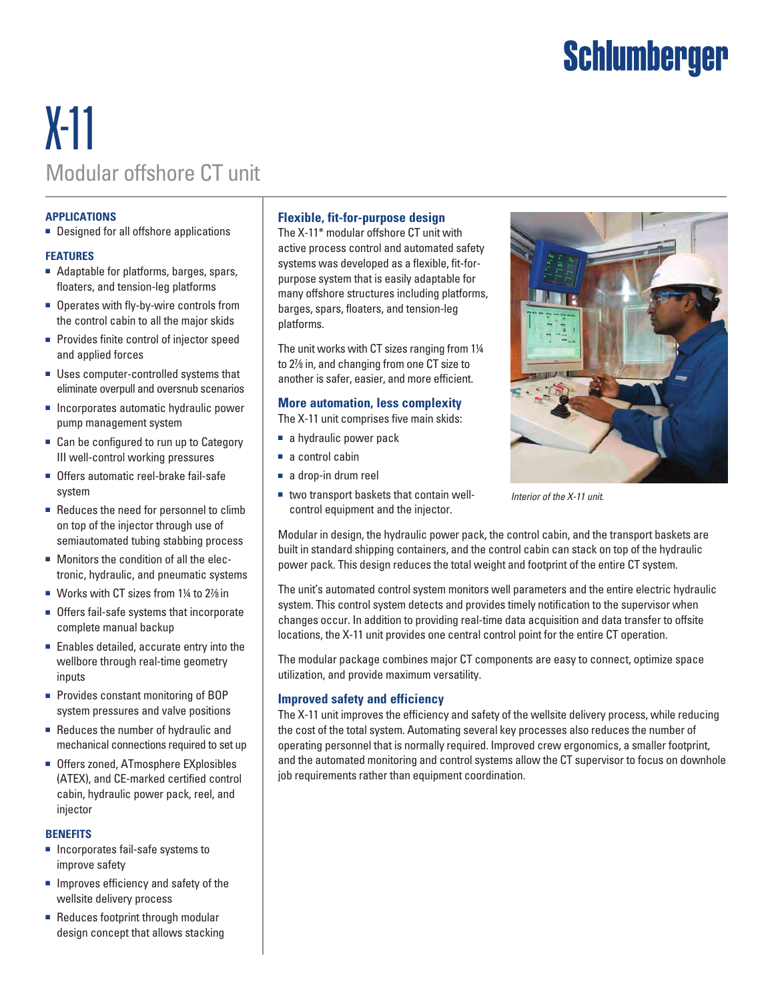# Schlumberger

## X-11 Modular offshore CT unit

#### **APPLICATIONS**

■ Designed for all offshore applications

#### **FEATURES**

- Adaptable for platforms, barges, spars, floaters, and tension-leg platforms
- Operates with fly-by-wire controls from the control cabin to all the major skids
- Provides finite control of injector speed and applied forces
- Uses computer-controlled systems that eliminate overpull and oversnub scenarios
- Incorporates automatic hydraulic power pump management system
- Can be configured to run up to Category III well-control working pressures
- Offers automatic reel-brake fail-safe system
- Reduces the need for personnel to climb on top of the injector through use of semiautomated tubing stabbing process
- Monitors the condition of all the electronic, hydraulic, and pneumatic systems
- Works with CT sizes from 1¼ to 2% in
- Offers fail-safe systems that incorporate complete manual backup
- Enables detailed, accurate entry into the wellbore through real-time geometry inputs
- Provides constant monitoring of BOP system pressures and valve positions
- Reduces the number of hydraulic and mechanical connections required to set up
- Offers zoned, ATmosphere EXplosibles (ATEX), and CE-marked certified control cabin, hydraulic power pack, reel, and injector

#### **BENEFITS**

- Incorporates fail-safe systems to improve safety
- Improves efficiency and safety of the wellsite delivery process
- Reduces footprint through modular design concept that allows stacking

## **Flexible, fit-for-purpose design**

The X-11\* modular offshore CT unit with active process control and automated safety systems was developed as a flexible, fit-forpurpose system that is easily adaptable for many offshore structures including platforms, barges, spars, floaters, and tension-leg platforms.

The unit works with CT sizes ranging from 1¼ to 27⁄8 in, and changing from one CT size to another is safer, easier, and more efficient.

### **More automation, less complexity**

The X-11 unit comprises five main skids:

- a hydraulic power pack
- a control cabin
- a drop-in drum reel
- two transport baskets that contain wellcontrol equipment and the injector.



*Interior of the X-11 unit.*

Modular in design, the hydraulic power pack, the control cabin, and the transport baskets are built in standard shipping containers, and the control cabin can stack on top of the hydraulic power pack. This design reduces the total weight and footprint of the entire CT system.

The unit's automated control system monitors well parameters and the entire electric hydraulic system. This control system detects and provides timely notification to the supervisor when changes occur. In addition to providing real-time data acquisition and data transfer to offsite locations, the X-11 unit provides one central control point for the entire CT operation.

The modular package combines major CT components are easy to connect, optimize space utilization, and provide maximum versatility.

## **Improved safety and efficiency**

The X-11 unit improves the efficiency and safety of the wellsite delivery process, while reducing the cost of the total system. Automating several key processes also reduces the number of operating personnel that is normally required. Improved crew ergonomics, a smaller footprint, and the automated monitoring and control systems allow the CT supervisor to focus on downhole job requirements rather than equipment coordination.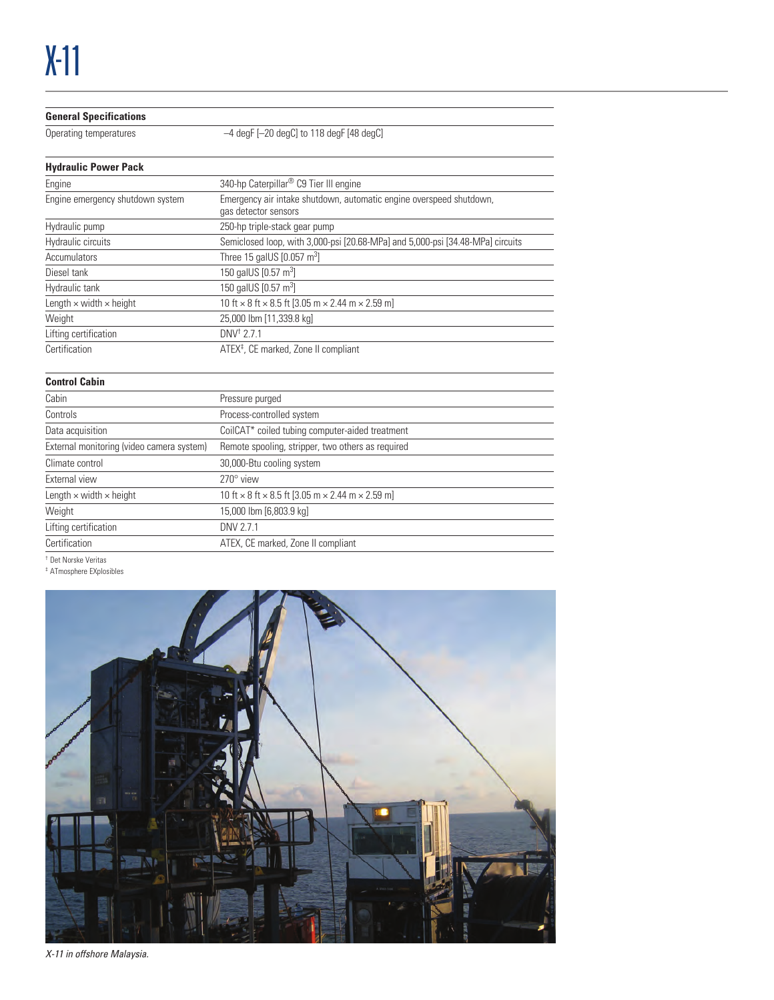#### **General Specifications**

Operating temperatures –4 degF [-20 degC] to 118 degF [48 degC]

| <b>Hydraulic Power Pack</b>           |                                                                                             |
|---------------------------------------|---------------------------------------------------------------------------------------------|
| Engine                                | 340-hp Caterpillar® C9 Tier III engine                                                      |
| Engine emergency shutdown system      | Emergency air intake shutdown, automatic engine overspeed shutdown,<br>gas detector sensors |
| Hydraulic pump                        | 250-hp triple-stack gear pump                                                               |
| Hydraulic circuits                    | Semiclosed loop, with 3,000-psi [20.68-MPa] and 5,000-psi [34.48-MPa] circuits              |
| Accumulators                          | Three 15 galUS [0.057 m <sup>3</sup> ]                                                      |
| Diesel tank                           | 150 galUS [0.57 m <sup>3</sup> ]                                                            |
| Hydraulic tank                        | 150 galUS [0.57 m <sup>3</sup> ]                                                            |
| Length $\times$ width $\times$ height | 10 ft $\times$ 8 ft $\times$ 8.5 ft [3.05 m $\times$ 2.44 m $\times$ 2.59 m]                |
| Weight                                | 25,000 lbm [11,339.8 kg]                                                                    |
| Lifting certification                 | $DNV^{\dagger}$ 2 7 1                                                                       |
| Certification                         | ATEX <sup>‡</sup> , CE marked, Zone II compliant                                            |

| <b>Control Cabin</b> |  |
|----------------------|--|
|----------------------|--|

| Cabin                                     | Pressure purged                                                              |  |  |
|-------------------------------------------|------------------------------------------------------------------------------|--|--|
| Controls                                  | Process-controlled system                                                    |  |  |
| Data acquisition                          | CoilCAT <sup>*</sup> coiled tubing computer-aided treatment                  |  |  |
| External monitoring (video camera system) | Remote spooling, stripper, two others as required                            |  |  |
| Climate control                           | 30,000-Btu cooling system                                                    |  |  |
| External view                             | $270^\circ$ view                                                             |  |  |
| Length $\times$ width $\times$ height     | 10 ft $\times$ 8 ft $\times$ 8.5 ft [3.05 m $\times$ 2.44 m $\times$ 2.59 m] |  |  |
| Weight                                    | 15,000 lbm [6,803.9 kg]                                                      |  |  |
| Lifting certification                     | DNV 2.7.1                                                                    |  |  |
| Certification                             | ATEX, CE marked, Zone II compliant                                           |  |  |
| .                                         |                                                                              |  |  |

† Det Norske Veritas

‡ ATmosphere EXplosibles



*X-11 in offshore Malaysia.*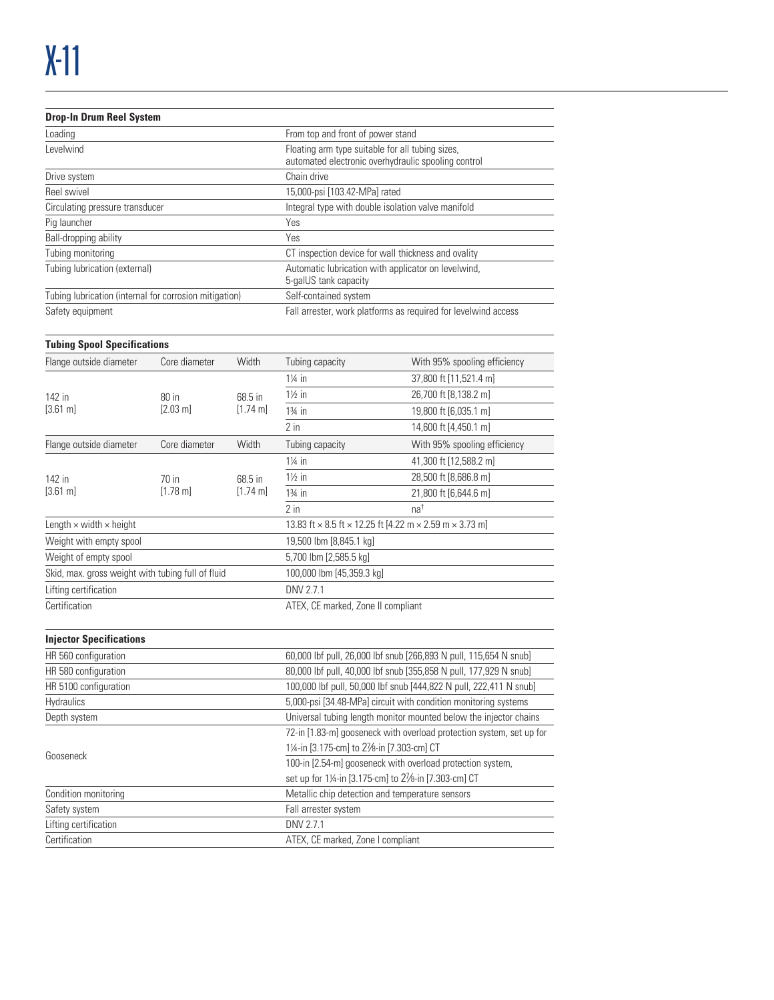### **Drop-In Drum Reel System** Loading **Example 2018** From top and front of power stand Levelwind **Floating arm type suitable for all tubing sizes**, automated electronic overhydraulic spooling control Drive system **Chain** drive Reel swivel **15,000-psi [103.42-MPa]** rated Circulating pressure transducer **Integral type with double isolation valve manifold** Pig launcher Yes Ball-dropping ability Yes Tubing monitoring CT inspection device for wall thickness and ovality Tubing lubrication (external) Tubing 1 and the Muslim Automatic lubrication with applicator on levelwind, 5-galUS tank capacity Tubing lubrication (internal for corrosion mitigation) Self-contained system Safety equipment **Fall arrester**, work platforms as required for levelwind access

| <b>Tubing Spool Specifications</b>                            |                               |                    |                                                                                     |                              |  |
|---------------------------------------------------------------|-------------------------------|--------------------|-------------------------------------------------------------------------------------|------------------------------|--|
| Flange outside diameter                                       | Core diameter                 | Width              | Tubing capacity                                                                     | With 95% spooling efficiency |  |
|                                                               |                               |                    | $1\%$ in                                                                            | 37,800 ft [11,521.4 m]       |  |
| 142 in                                                        | $80$ in<br>$[2.03 \text{ m}]$ | 68.5 in            | $1\frac{1}{2}$ in                                                                   | 26,700 ft [8,138.2 m]        |  |
| $[3.61 \text{ m}]$                                            |                               | $[1.74 \text{ m}]$ | $1\frac{3}{4}$ in                                                                   | 19,800 ft [6,035.1 m]        |  |
|                                                               |                               |                    | $2$ in                                                                              | 14,600 ft [4,450.1 m]        |  |
| Flange outside diameter                                       | Core diameter                 | Width              | Tubing capacity                                                                     | With 95% spooling efficiency |  |
|                                                               |                               |                    | $1\frac{1}{4}$ in                                                                   | 41,300 ft [12,588.2 m]       |  |
| 142 in<br>$70$ in<br>$[3.61 \text{ m}]$<br>$[1.78 \text{ m}]$ | 68.5 in                       | $1\frac{1}{2}$ in  | 28,500 ft [8,686.8 m]                                                               |                              |  |
|                                                               |                               | $[1.74 \text{ m}]$ | $1\frac{3}{4}$ in                                                                   | 21,800 ft [6,644.6 m]        |  |
|                                                               |                               |                    | $2$ in                                                                              | na <sup>†</sup>              |  |
| Length $\times$ width $\times$ height                         |                               |                    | 13.83 ft $\times$ 8.5 ft $\times$ 12.25 ft [4.22 m $\times$ 2.59 m $\times$ 3.73 m] |                              |  |
| Weight with empty spool                                       |                               |                    | 19,500 lbm [8,845.1 kg]                                                             |                              |  |
| Weight of empty spool                                         |                               |                    | 5,700 lbm [2,585.5 kg]                                                              |                              |  |
| Skid, max. gross weight with tubing full of fluid             |                               |                    | 100,000 lbm [45,359.3 kg]                                                           |                              |  |
| Lifting certification                                         |                               |                    | DNV 2.7.1                                                                           |                              |  |
| Certification                                                 |                               |                    | ATEX, CE marked, Zone II compliant                                                  |                              |  |

#### **Injector Specifications**

| HR 560 configuration  | 60,000 lbf pull, 26,000 lbf snub [266,893 N pull, 115,654 N snub]    |
|-----------------------|----------------------------------------------------------------------|
| HR 580 configuration  | 80,000 lbf pull, 40,000 lbf snub [355,858 N pull, 177,929 N snub]    |
| HR 5100 configuration | 100,000 lbf pull, 50,000 lbf snub [444,822 N pull, 222,411 N snub]   |
| <b>Hydraulics</b>     | 5,000-psi [34.48-MPa] circuit with condition monitoring systems      |
| Depth system          | Universal tubing length monitor mounted below the injector chains    |
|                       | 72-in [1.83-m] gooseneck with overload protection system, set up for |
| Gooseneck             | 1¼-in [3.175-cm] to 2//8-in [7.303-cm] CT                            |
|                       | 100-in [2.54-m] gooseneck with overload protection system,           |
|                       | set up for 1¼-in [3.175-cm] to 21⁄8-in [7.303-cm] CT                 |
| Condition monitoring  | Metallic chip detection and temperature sensors                      |
| Safety system         | Fall arrester system                                                 |
| Lifting certification | DNV 2.7.1                                                            |
| Certification         | ATEX, CE marked, Zone I compliant                                    |